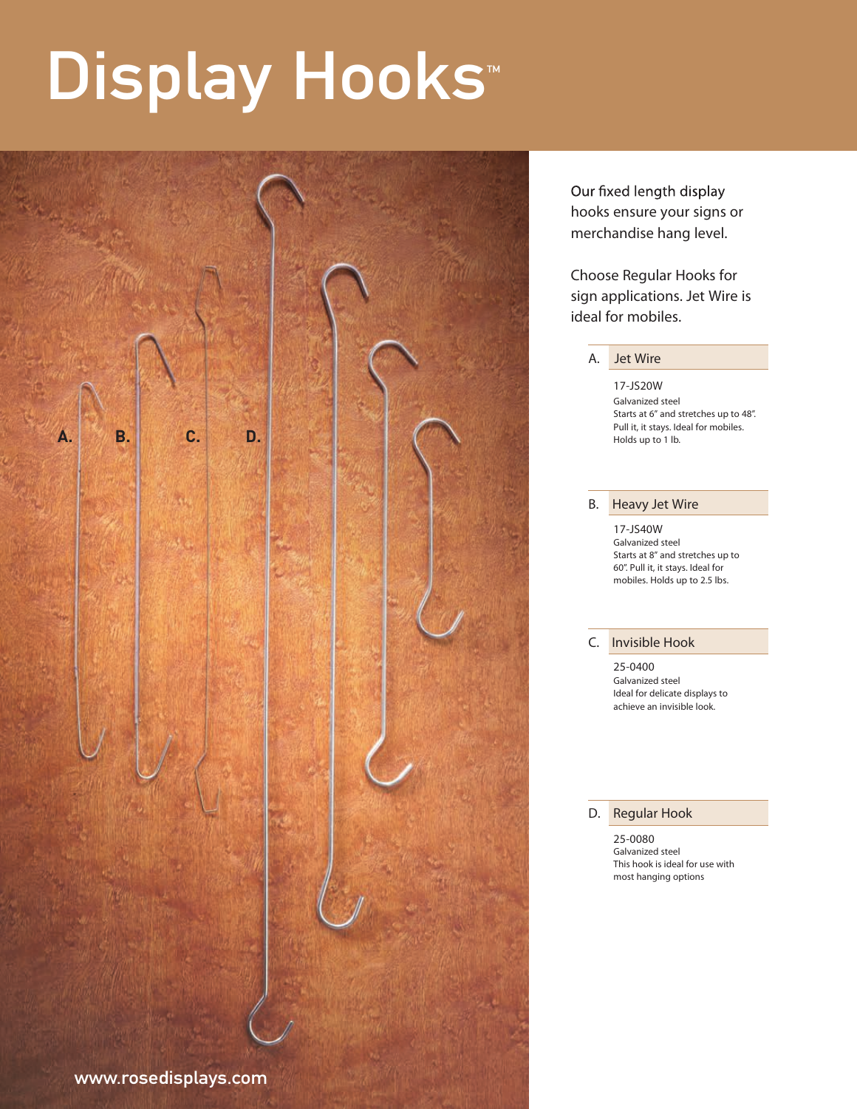# Display Hooks<sup>™</sup>



Our fixed length display hooks ensure your signs or merchandise hang level.

Choose Regular Hooks for sign applications. Jet Wire is ideal for mobiles.

A. Jet Wire

17-JS20W Galvanized steel Starts at 6" and stretches up to 48". Pull it, it stays. Ideal for mobiles. Holds up to 1 lb.

#### B. Heavy Jet Wire

17-JS40W Galvanized steel Starts at 8" and stretches up to 60". Pull it, it stays. Ideal for mobiles. Holds up to 2.5 lbs.

#### C. Invisible Hook

25-0400 Galvanized steel Ideal for delicate displays to achieve an invisible look.

#### D. Regular Hook

25-0080 Galvanized steel This hook is ideal for use with most hanging options